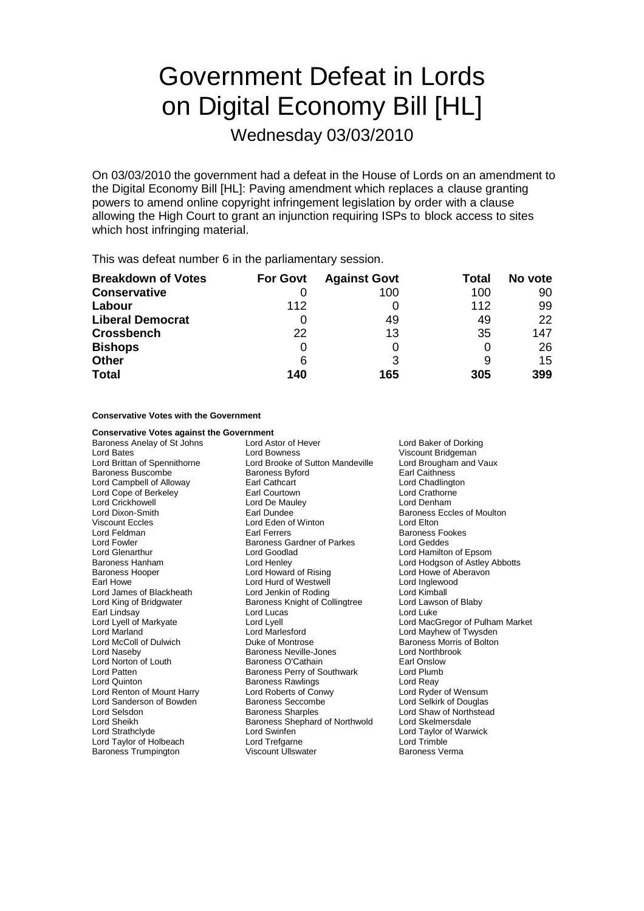# Government Defeat in Lords on Digital Economy Bill [HL]

Wednesday 03/03/2010

On 03/03/2010 the government had a defeat in the House of Lords on an amendment to the Digital Economy Bill [HL]: Paving amendment which replaces a clause granting powers to amend online copyright infringement legislation by order with a clause allowing the High Court to grant an injunction requiring ISPs to block access to sites which host infringing material.

This was defeat number 6 in the parliamentary session.

| <b>Breakdown of Votes</b> | <b>For Govt</b> | <b>Against Govt</b> | Total | No vote |
|---------------------------|-----------------|---------------------|-------|---------|
| <b>Conservative</b>       |                 | 100                 | 100   | 90      |
| Labour                    | 112             |                     | 112   | 99      |
| <b>Liberal Democrat</b>   |                 | 49                  | 49    | 22      |
| <b>Crossbench</b>         | 22              | 13                  | 35    | 147     |
| <b>Bishops</b>            |                 |                     |       | 26      |
| <b>Other</b>              | 6               | 3                   |       | 15      |
| <b>Total</b>              | 140             | 165                 | 305   | 399     |

**Conservative Votes with the Government**

**Conservative Votes against the Government**<br>Baroness Anelay of St Johns Lord Astor of Hever Earl Lindsay Lord Lucas<br>
Lord Lyell of Markyate Lord Lyell<br>
Lord Lyell Lord Renton of Mount Harry Baroness Trumpington

Baroness Anelay of St Johns Lord Astor of Hever Lord Baker of Dorking Lord Bates Lord Bowness Cord Boundary Viscount Bridgeman<br>
Lord Brittan of Spennithorne Lord Brooke of Sutton Mandeville Lord Brougham and Vaux Lord Brooke of Sutton Mandeville Baroness Buscombe **Baroness Byford** Earl Caithness Lord Campbell of Alloway Earl Cathcart Lord Chadlington Lord Cope of Berkeley **Earl Courtown** Earl Courtown Lord Crathorne Lord Crickhowell **Lord De Mauley** Lord Denham Lord Dixon-Smith **Earl Dundee** Earl Dundee **Baroness Eccles of Moulton** Viscount Eccles Lord Eden of Winton Lord Elton **Earl Ferrers** Earl Ferrers Baroness Fookes Lord Fowler **Communist Communist Communist Communist Communist Communist Communist Communist Communist Communist Communist Communist Communist Communist Communist Communist Communist Communist Communist Communist Communist** Lord Glenarthur Lord Goodlad Lord Hamilton of Epsom Baroness Hanham **Example 2** Lord Henley **Lord Hotal Conducts** Lord Hodgson of Astley Abbotts<br>
Baroness Hooper **Conducts** Lord Howard of Rising **Lord Howe of Aberavon** Earl Howe Lord Hurd of Westwell Lord Inglewood Lord James of Blackheath Lord Jenkin of Roding Lord Kimball<br>
Lord King of Bridgwater Baroness Knight of Collingtree Lord Lawson of Blaby Baroness Knight of Collingtree Lord Laws<br>Lord Lucas Lord Marland Lord Marlesford Lord Mayhew of Twysden Lord McColl of Dulwich **Duke of Montrose** Baroness Morris of Bolton<br>
Duke of Montrose Baroness Neville-Jones **Baroness Morris Collabook**<br>
Duke of Montrose Baroness Neville-Jones **Duke of Montrose Barones** Baroness Neville-Jones<br>
Baroness O'Cathain<br>
Earl Onslow Lord Norton of Louth **Baroness O'Cathain** Earl Onslow<br>
Lord Patten **Baroness Perry of Southwark** Lord Plumb Lord Patten **Baroness Perry of Southwark** Lord Plumb Lord Plumb Lord Plumb Baroness Rawlings Lord Reay Baroness Rawlings<br>
Lord Roberts of Conwy 
Lord Ryder of Wensum Lord Sanderson of Bowden Baroness Seccombe Lord Selkirk of Douglas Lord Selsdon Baroness Sharples Lord Shaw of Northstead Lord Sheikh Baroness Shephard of Northwold Lord Skelmersdale Lord Strathclyde Lord Swinfen Lord Taylor of Warwick Lord Taylor of Holbeach **Lord Lord Trefgarne** Cord Treft Lord Trimble<br>Baroness Trumpington **Lord Trefficial Cord Lord Trimble** Baroness Verma

Lord Howe of Aberavon Lord Lyell of Markyate Lord Lyell Lord Lyell Lord MacGregor of Pulham Market<br>
Lord Marland Lord Marlesford Lord Mayhew of Twysden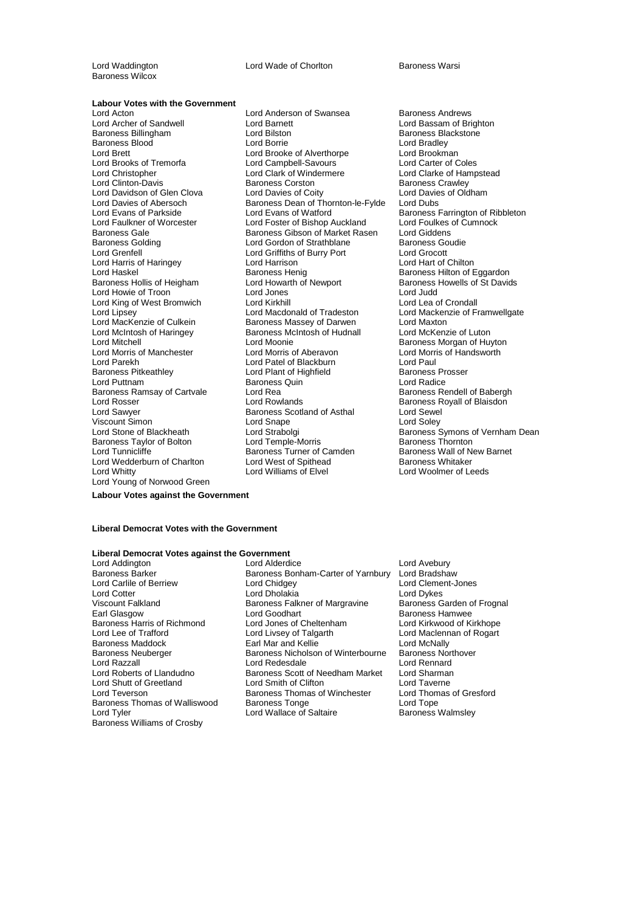Lord Waddington **Lord Wade of Chorlton** Baroness Warsi

Baroness Wilcox

**Labour Votes with the Government**<br>Lord Acton

Lord Acton Lord Anderson of Swansea Baroness Andrews Lord Davidson of Glen Clova Lord Davies of Coity Lord Harris of Haringey Lord Harrison Lord King of West Bromwich Lord Kirkhill<br>
Lord Lipsey Lord Macdonald of Tradeston Baroness Ramsay of Cartvale Lord Rea<br>Lord Rosser Baroness Rendell of Baylands Viscount Simon<br>
Lord Stone of Blackheath<br>
Lord Strabolgi Baroness Taylor of Bolton Lord Wedderburn of Charlton Lord West of Spithead<br>Lord Whitty **Baroness Whitaker Whitaker Baroness Whitaker Baroness Whitaker Whitaker Baroness White Baroness W** Lord Young of Norwood Green

Lord Barnett **Lord Bassam of Brighton** Baroness Billingham **Baroness Billingham** Lord Bilston **Baroness Blackstone**<br>Baroness Blood Baroness Blood Borne Lord Borrie **Baroness Blackstone** Baroness Blood **Bradley**<br>
Lord Bradley **Lord Brooke** Cord Brooke of Alverthorpe **Lord Brookman**<br>
Lord Brookman Lord Brooke of Alverthorpe Lord Brookman<br>
Lord Campbell-Savours Lord Carter of Coles Lord Brooks of Tremorfa<br>
Lord Christopher Lord Clark of Windermere Lord Clarke of Hampstead Lord Clark of Windermere Lord Clarke of Har<br>Baroness Corston Baroness Crawley Lord Clinton-Davis<br>
Lord Davidson of Glen Clova<br>
Lord Davidson of Glen Clova<br>
Lord Davies of Oldham Lord Davies of Abersoch **Baroness Dean of Thornton-le-Fylde** Lord Dubs<br>
Lord Evans of Parkside Lord Evans of Watford Baroness F Lord Evans of Parkside Lord Evans of Watford **Baroness Farrington of Ribbleton**<br>Lord Faulkner of Worcester Lord Foster of Bishop Auckland Lord Foulkes of Cumnock Lord Faulkner of Worcester Lord Foster of Bishop Auckland Lord Foulkes<br>Baroness Gale Baroness Gibson of Market Rasen Lord Giddens Baroness Gale Baroness Gibson of Market Rasen Lord Giddens<br>Baroness Golding Saroness Lord Gordon of Strathblane Baroness Goudie Lord Gordon of Strathblane Lord Grenfell<br>
Lord Grocott Lord Grocott Lord Griffiths of Burry Port Lord Grocott<br>
Lord Harrison Lord Harrison Lord Harrison Lord Haskel Baroness Henig Baroness Hilton of Eggardon Lord Howarth of Newport Baroness Howells of St Davids<br>Lord Jones Lord Howie of Troon <u>Theory Corporation Corporation</u><br>
Lord King of West Bromwich Lord Kirkhill **Lord Lord Lord Lea of Crondall** Lord Lipsey Lord Macdonald of Tradeston Lord Mackenzie of Framwellgate<br>
Lord MacKenzie of Culkein Baroness Massey of Darwen Lord Maxton Lord MacKenzie of Culkein **Baroness Massey of Darwen** Lord Maxton<br>Lord McIntosh of Haringey **Baroness McIntosh of Hudnall** Lord McKenzie of Luton Baroness McIntosh of Hudnall Lord Mitchell<br>
Lord Moonie Cord Moonie Charless Morgan of Huyton<br>
Lord Morris of Manchester Lord Morris of Aberavon<br>
Lord Morris of Handsworth Lord Morris of Manchester Lord Morris of Aberavon Lord Morris of Handsworth Lord Parekh Lord Patel of Blackburn Lord Paul Lord Plant of Highfield Lord Puttnam Baroness Quin Lord Radice Lord Rosser **Lord Rowlands** Cord Rowlands **Baroness Royall of Blaisdon**<br>
Lord Sawyer **Baroness Scotland of Asthal** Cord Sewel Baroness Scotland of Asthal Lord Sewel<br>
Lord Snape Cord Soley Lord Tunnicliffe **Baroness Turner of Camden** Baroness Wall of New Barnet<br>
Lord Wedderburn of Charlton **Baroness West of Spithead** Baroness Whitaker

Lord Strabolgi **Channess Symons of Vernham Dean**<br>
Lord Temple-Morris **Channess Symons of Vernham Dean** Lord Woolmer of Leeds

## **Labour Votes against the Government**

### **Liberal Democrat Votes with the Government**

# **Liberal Democrat Votes against the Government**

Lord Carlile of Berriew Lord Chidgey<br>
Lord Cotter Lord Chinakia Baroness Harris of Richmond<br>
Lord Jones of Cheltenh<br>
Lord Lee of Trafford<br>
Lord Livsey of Talgarth Baroness Thomas of Walliswood Baroness Williams of Crosby

Lord Addington Lord Control Lord Alderdice Lord Andrejon<br>Baroness Barker Baroness Bonham-Carter of Yarnbury Lord Bradshaw Baroness Bonham-Carter of Yarnbury Lord Bradshaw<br>Lord Chidgey Lord Clement-Jones Lord Cotter Lord Dollaria<br>Lord Cotter Lord Dykes<br>Viscount Falkland Lord Dykes Baroness Falkner of Margravine Baroness G Viscount Falkland **Baroness Falkner of Margravine** Baroness Garden of Frognal<br>Baroness Hamwee Baroness Hamwee Lord Goodhart **Earl Goodhart** Baroness Hamwee<br>
Lord Jones of Cheltenham **Baroness Lord Kirkwood of Kirkhope** Lord Livsey of Talgarth Lord Maclennan of Rogart<br>
Earl Mar and Kellie **Lord McNally** Baroness Maddock **Earl Mar and Kellie** Lord McNally<br>Baroness Neuberger **Earl Baroness Nicholson of Winterbourne** Baroness Northover Baroness Neuberger Baroness Nicholson of Winterbourne Baroness Northover Christense Lord Renard<br>Lord Redesdale Lord Rennard Lord Razzall Lord Redesdale Cord Rennard<br>
Lord Roberts of Llandudno Baroness Scott of Needham Market Lord Sharman Baroness Scott of Needham Market Lord Sharman<br>Lord Smith of Clifton Lord Taverne Lord Shutt of Greetland Lord Smith of Clifton Lord Taverne<br>
Lord Teverson **Lord The Baroness Thomas of Winchester** Lord Thomas of Gresford Baroness Thomas of Winchester Lord Thom<br>Baroness Tonge Lord Tope Lord Tyler **Lord Wallace of Saltaire** Baroness Walmsley